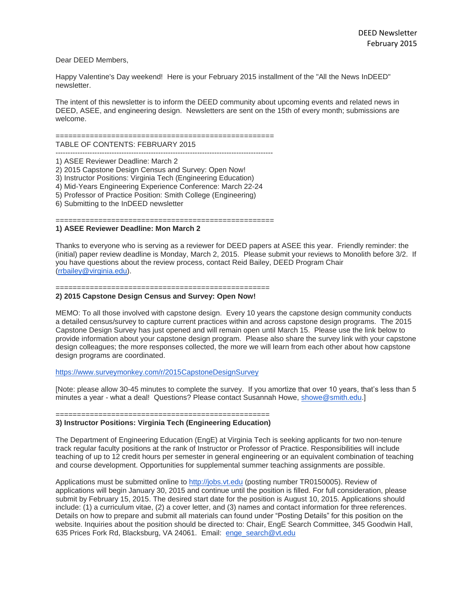# Dear DEED Members,

Happy Valentine's Day weekend! Here is your February 2015 installment of the "All the News InDEED" newsletter.

The intent of this newsletter is to inform the DEED community about upcoming events and related news in DEED, ASEE, and engineering design. Newsletters are sent on the 15th of every month; submissions are welcome.

#### ===================================================

TABLE OF CONTENTS: FEBRUARY 2015 -----------------------------------------------------------------------------------------

- 1) ASEE Reviewer Deadline: March 2
- 2) 2015 Capstone Design Census and Survey: Open Now!
- 3) Instructor Positions: Virginia Tech (Engineering Education)
- 4) Mid-Years Engineering Experience Conference: March 22-24
- 5) Professor of Practice Position: Smith College (Engineering)
- 6) Submitting to the InDEED newsletter

==================================== **1) ASEE Reviewer Deadline: Mon March 2**

Thanks to everyone who is serving as a reviewer for DEED papers at ASEE this year. Friendly reminder: the (initial) paper review deadline is Monday, March 2, 2015. Please submit your reviews to Monolith before 3/2. If you have questions about the review process, contact Reid Bailey, DEED Program Chair [\(rrbailey@virginia.edu\)](mailto:rrbailey@virginia.edu).

### ==================================================

## **2) 2015 Capstone Design Census and Survey: Open Now!**

MEMO: To all those involved with capstone design. Every 10 years the capstone design community conducts a detailed census/survey to capture current practices within and across capstone design programs. The 2015 Capstone Design Survey has just opened and will remain open until March 15. Please use the link below to provide information about your capstone design program. Please also share the survey link with your capstone design colleagues; the more responses collected, the more we will learn from each other about how capstone design programs are coordinated.

#### <https://www.surveymonkey.com/r/2015CapstoneDesignSurvey>

[Note: please allow 30-45 minutes to complete the survey. If you amortize that over 10 years, that's less than 5 minutes a year - what a deal! Questions? Please contact Susannah Howe, [showe@smith.edu.](mailto:showe@smith.edu)]

#### ================================================== **3) Instructor Positions: Virginia Tech (Engineering Education)**

The Department of Engineering Education (EngE) at Virginia Tech is seeking applicants for two non-tenure track regular faculty positions at the rank of Instructor or Professor of Practice. Responsibilities will include teaching of up to 12 credit hours per semester in general engineering or an equivalent combination of teaching and course development. Opportunities for supplemental summer teaching assignments are possible.

Applications must be submitted online to [http://jobs.vt.edu](http://jobs.vt.edu/) (posting number TR0150005). Review of applications will begin January 30, 2015 and continue until the position is filled. For full consideration, please submit by February 15, 2015. The desired start date for the position is August 10, 2015. Applications should include: (1) a curriculum vitae, (2) a cover letter, and (3) names and contact information for three references. Details on how to prepare and submit all materials can found under "Posting Details" for this position on the website. Inquiries about the position should be directed to: Chair, EngE Search Committee, 345 Goodwin Hall, 635 Prices Fork Rd, Blacksburg, VA 24061. Email: [enge\\_search@vt.edu](mailto:enge_search@vt.edu)